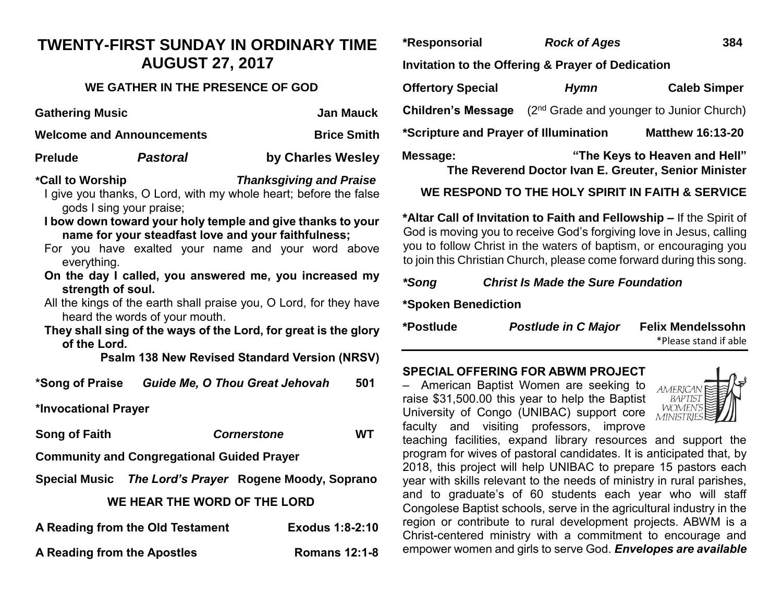# **TWENTY-FIRST SUNDAY IN ORDINARY TIME AUGUST 27, 2017**

## **WE GATHER IN THE PRESENCE OF GOD**

| <b>Gathering Music</b>           |                 | <b>Jan Mauck</b>               |  |
|----------------------------------|-----------------|--------------------------------|--|
| <b>Welcome and Announcements</b> |                 | <b>Brice Smith</b>             |  |
| <b>Prelude</b>                   | <b>Pastoral</b> | by Charles Wesley              |  |
| *Call to Worship                 |                 | <b>Thanksgiving and Praise</b> |  |

- I give you thanks, O Lord, with my whole heart; before the false gods I sing your praise;
- **I bow down toward your holy temple and give thanks to your name for your steadfast love and your faithfulness;**
- For you have exalted your name and your word above everything.
- **On the day I called, you answered me, you increased my strength of soul.**
- All the kings of the earth shall praise you, O Lord, for they have heard the words of your mouth.
- **They shall sing of the ways of the Lord, for great is the glory of the Lord.**

**Psalm 138 New Revised Standard Version (NRSV)**

| *Song of Praise      | <b>Guide Me, O Thou Great Jehovah</b> | 501 |
|----------------------|---------------------------------------|-----|
| *Invocational Prayer |                                       |     |

**Song of Faith** *Cornerstone* **WT**

- **Community and Congregational Guided Prayer**
- **Special Music** *The Lord's Prayer* **Rogene Moody, Soprano**

## **WE HEAR THE WORD OF THE LORD**

| A Reading from the Old Testament | <b>Exodus 1:8-2:10</b> |
|----------------------------------|------------------------|
| A Reading from the Apostles      | <b>Romans 12:1-8</b>   |

| *Responsorial                                     | <b>Rock of Ages</b> | 384                                                                                   |  |  |
|---------------------------------------------------|---------------------|---------------------------------------------------------------------------------------|--|--|
| Invitation to the Offering & Prayer of Dedication |                     |                                                                                       |  |  |
| <b>Offertory Special</b>                          | <b>Hymn</b>         | <b>Caleb Simper</b>                                                                   |  |  |
| <b>Children's Message</b>                         |                     | (2 <sup>nd</sup> Grade and younger to Junior Church)                                  |  |  |
| *Scripture and Prayer of Illumination             |                     | <b>Matthew 16:13-20</b>                                                               |  |  |
| Message:                                          |                     | "The Keys to Heaven and Hell"<br>The Reverend Doctor Ivan E. Greuter, Senior Minister |  |  |

# **WE RESPOND TO THE HOLY SPIRIT IN FAITH & SERVICE**

**\*Altar Call of Invitation to Faith and Fellowship –** If the Spirit of God is moving you to receive God's forgiving love in Jesus, calling you to follow Christ in the waters of baptism, or encouraging you to join this Christian Church, please come forward during this song.

## *\*Song Christ Is Made the Sure Foundation*

**\*Spoken Benediction**

| *Postlude | <b>Postlude in C Major</b> | <b>Felix Mendelssohn</b> |
|-----------|----------------------------|--------------------------|
|           |                            |                          |

\*Please stand if able

# **SPECIAL OFFERING FOR ABWM PROJECT**

– American Baptist Women are seeking to raise \$31,500.00 this year to help the Baptist University of Congo (UNIBAC) support core faculty and visiting professors, improve



teaching facilities, expand library resources and support the program for wives of pastoral candidates. It is anticipated that, by 2018, this project will help UNIBAC to prepare 15 pastors each year with skills relevant to the needs of ministry in rural parishes, and to graduate's of 60 students each year who will staff Congolese Baptist schools, serve in the agricultural industry in the region or contribute to rural development projects. ABWM is a Christ-centered ministry with a commitment to encourage and empower women and girls to serve God. *Envelopes are available*